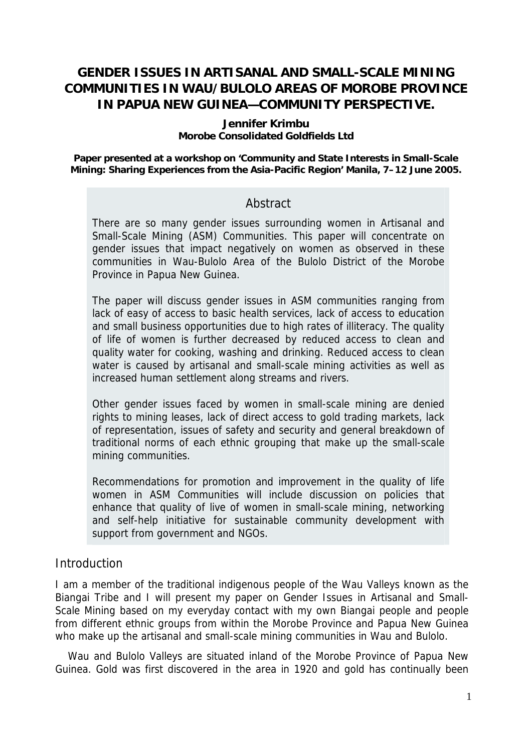# **GENDER ISSUES IN ARTISANAL AND SMALL-SCALE MINING COMMUNITIES IN WAU/BULOLO AREAS OF MOROBE PROVINCE IN PAPUA NEW GUINEA—COMMUNITY PERSPECTIVE.**

#### **Jennifer Krimbu Morobe Consolidated Goldfields Ltd**

**Paper presented at a workshop on 'Community and State Interests in Small-Scale Mining: Sharing Experiences from the Asia-Pacific Region' Manila, 7–12 June 2005.** 

# Abstract

There are so many gender issues surrounding women in Artisanal and Small-Scale Mining (ASM) Communities. This paper will concentrate on gender issues that impact negatively on women as observed in these communities in Wau-Bulolo Area of the Bulolo District of the Morobe Province in Papua New Guinea.

The paper will discuss gender issues in ASM communities ranging from lack of easy of access to basic health services, lack of access to education and small business opportunities due to high rates of illiteracy. The quality of life of women is further decreased by reduced access to clean and quality water for cooking, washing and drinking. Reduced access to clean water is caused by artisanal and small-scale mining activities as well as increased human settlement along streams and rivers.

Other gender issues faced by women in small-scale mining are denied rights to mining leases, lack of direct access to gold trading markets, lack of representation, issues of safety and security and general breakdown of traditional norms of each ethnic grouping that make up the small-scale mining communities.

Recommendations for promotion and improvement in the quality of life women in ASM Communities will include discussion on policies that enhance that quality of live of women in small-scale mining, networking and self-help initiative for sustainable community development with support from government and NGOs.

# **Introduction**

I am a member of the traditional indigenous people of the Wau Valleys known as the Biangai Tribe and I will present my paper on Gender Issues in Artisanal and Small-Scale Mining based on my everyday contact with my own Biangai people and people from different ethnic groups from within the Morobe Province and Papua New Guinea who make up the artisanal and small-scale mining communities in Wau and Bulolo.

Wau and Bulolo Valleys are situated inland of the Morobe Province of Papua New Guinea. Gold was first discovered in the area in 1920 and gold has continually been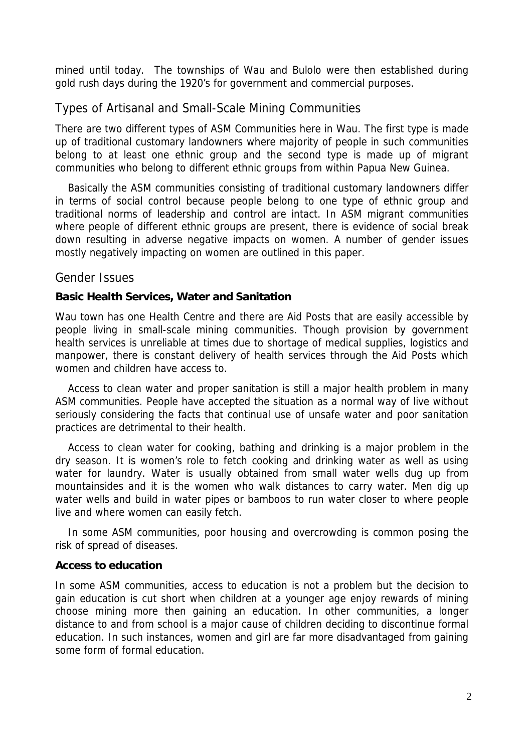mined until today. The townships of Wau and Bulolo were then established during gold rush days during the 1920's for government and commercial purposes.

# Types of Artisanal and Small-Scale Mining Communities

There are two different types of ASM Communities here in Wau. The first type is made up of traditional customary landowners where majority of people in such communities belong to at least one ethnic group and the second type is made up of migrant communities who belong to different ethnic groups from within Papua New Guinea.

Basically the ASM communities consisting of traditional customary landowners differ in terms of social control because people belong to one type of ethnic group and traditional norms of leadership and control are intact. In ASM migrant communities where people of different ethnic groups are present, there is evidence of social break down resulting in adverse negative impacts on women. A number of gender issues mostly negatively impacting on women are outlined in this paper.

# Gender Issues

# **Basic Health Services, Water and Sanitation**

Wau town has one Health Centre and there are Aid Posts that are easily accessible by people living in small-scale mining communities. Though provision by government health services is unreliable at times due to shortage of medical supplies, logistics and manpower, there is constant delivery of health services through the Aid Posts which women and children have access to.

Access to clean water and proper sanitation is still a major health problem in many ASM communities. People have accepted the situation as a normal way of live without seriously considering the facts that continual use of unsafe water and poor sanitation practices are detrimental to their health.

Access to clean water for cooking, bathing and drinking is a major problem in the dry season. It is women's role to fetch cooking and drinking water as well as using water for laundry. Water is usually obtained from small water wells dug up from mountainsides and it is the women who walk distances to carry water. Men dig up water wells and build in water pipes or bamboos to run water closer to where people live and where women can easily fetch.

In some ASM communities, poor housing and overcrowding is common posing the risk of spread of diseases.

# **Access to education**

In some ASM communities, access to education is not a problem but the decision to gain education is cut short when children at a younger age enjoy rewards of mining choose mining more then gaining an education. In other communities, a longer distance to and from school is a major cause of children deciding to discontinue formal education. In such instances, women and girl are far more disadvantaged from gaining some form of formal education.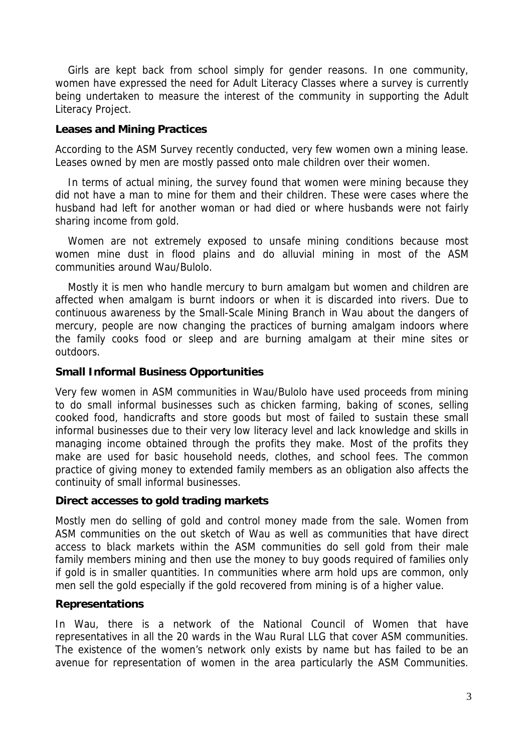Girls are kept back from school simply for gender reasons. In one community, women have expressed the need for Adult Literacy Classes where a survey is currently being undertaken to measure the interest of the community in supporting the Adult Literacy Project.

### **Leases and Mining Practices**

According to the ASM Survey recently conducted, very few women own a mining lease. Leases owned by men are mostly passed onto male children over their women.

In terms of actual mining, the survey found that women were mining because they did not have a man to mine for them and their children. These were cases where the husband had left for another woman or had died or where husbands were not fairly sharing income from gold.

Women are not extremely exposed to unsafe mining conditions because most women mine dust in flood plains and do alluvial mining in most of the ASM communities around Wau/Bulolo.

Mostly it is men who handle mercury to burn amalgam but women and children are affected when amalgam is burnt indoors or when it is discarded into rivers. Due to continuous awareness by the Small-Scale Mining Branch in Wau about the dangers of mercury, people are now changing the practices of burning amalgam indoors where the family cooks food or sleep and are burning amalgam at their mine sites or outdoors.

### **Small Informal Business Opportunities**

Very few women in ASM communities in Wau/Bulolo have used proceeds from mining to do small informal businesses such as chicken farming, baking of scones, selling cooked food, handicrafts and store goods but most of failed to sustain these small informal businesses due to their very low literacy level and lack knowledge and skills in managing income obtained through the profits they make. Most of the profits they make are used for basic household needs, clothes, and school fees. The common practice of giving money to extended family members as an obligation also affects the continuity of small informal businesses.

#### **Direct accesses to gold trading markets**

Mostly men do selling of gold and control money made from the sale. Women from ASM communities on the out sketch of Wau as well as communities that have direct access to black markets within the ASM communities do sell gold from their male family members mining and then use the money to buy goods required of families only if gold is in smaller quantities. In communities where arm hold ups are common, only men sell the gold especially if the gold recovered from mining is of a higher value.

#### **Representations**

In Wau, there is a network of the National Council of Women that have representatives in all the 20 wards in the Wau Rural LLG that cover ASM communities. The existence of the women's network only exists by name but has failed to be an avenue for representation of women in the area particularly the ASM Communities.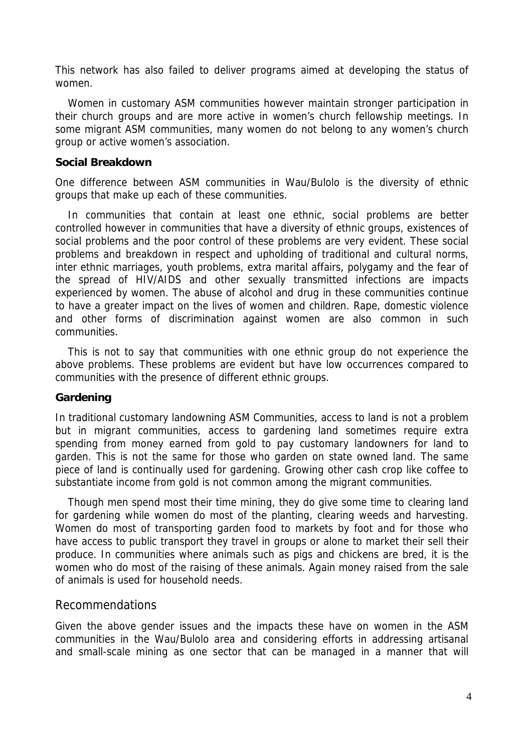This network has also failed to deliver programs aimed at developing the status of women.

Women in customary ASM communities however maintain stronger participation in their church groups and are more active in women's church fellowship meetings. In some migrant ASM communities, many women do not belong to any women's church group or active women's association.

#### **Social Breakdown**

One difference between ASM communities in Wau/Bulolo is the diversity of ethnic groups that make up each of these communities.

In communities that contain at least one ethnic, social problems are better controlled however in communities that have a diversity of ethnic groups, existences of social problems and the poor control of these problems are very evident. These social problems and breakdown in respect and upholding of traditional and cultural norms, inter ethnic marriages, youth problems, extra marital affairs, polygamy and the fear of the spread of HIV/AIDS and other sexually transmitted infections are impacts experienced by women. The abuse of alcohol and drug in these communities continue to have a greater impact on the lives of women and children. Rape, domestic violence and other forms of discrimination against women are also common in such communities.

This is not to say that communities with one ethnic group do not experience the above problems. These problems are evident but have low occurrences compared to communities with the presence of different ethnic groups.

#### **Gardening**

In traditional customary landowning ASM Communities, access to land is not a problem but in migrant communities, access to gardening land sometimes require extra spending from money earned from gold to pay customary landowners for land to garden. This is not the same for those who garden on state owned land. The same piece of land is continually used for gardening. Growing other cash crop like coffee to substantiate income from gold is not common among the migrant communities.

Though men spend most their time mining, they do give some time to clearing land for gardening while women do most of the planting, clearing weeds and harvesting. Women do most of transporting garden food to markets by foot and for those who have access to public transport they travel in groups or alone to market their sell their produce. In communities where animals such as pigs and chickens are bred, it is the women who do most of the raising of these animals. Again money raised from the sale of animals is used for household needs.

#### Recommendations

Given the above gender issues and the impacts these have on women in the ASM communities in the Wau/Bulolo area and considering efforts in addressing artisanal and small-scale mining as one sector that can be managed in a manner that will